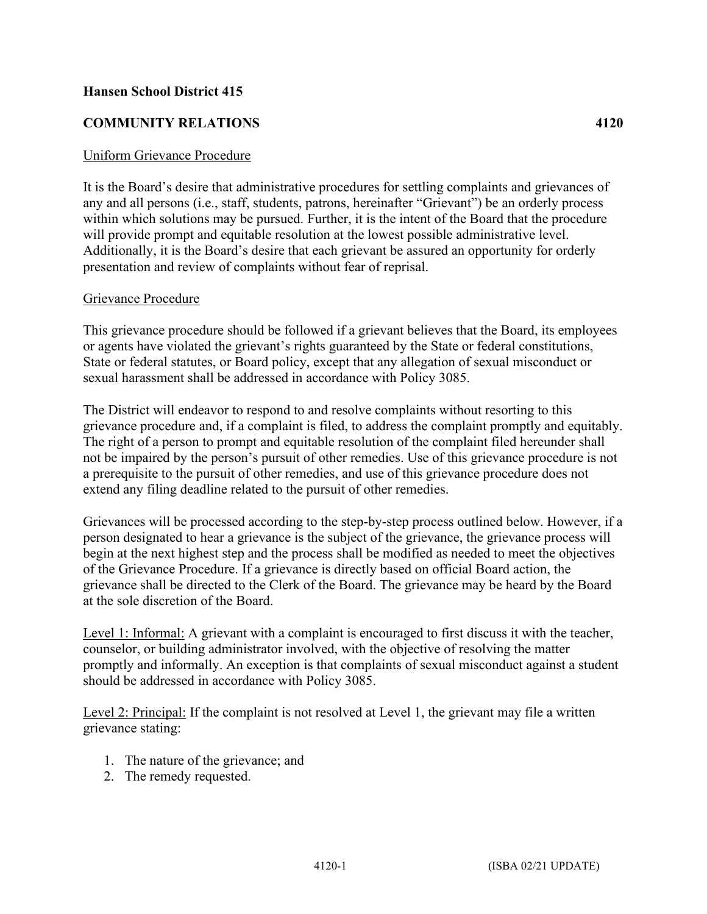## **Hansen School District 415**

## **COMMUNITY RELATIONS 4120**

## Uniform Grievance Procedure

It is the Board's desire that administrative procedures for settling complaints and grievances of any and all persons (i.e., staff, students, patrons, hereinafter "Grievant") be an orderly process within which solutions may be pursued. Further, it is the intent of the Board that the procedure will provide prompt and equitable resolution at the lowest possible administrative level. Additionally, it is the Board's desire that each grievant be assured an opportunity for orderly presentation and review of complaints without fear of reprisal.

## Grievance Procedure

This grievance procedure should be followed if a grievant believes that the Board, its employees or agents have violated the grievant's rights guaranteed by the State or federal constitutions, State or federal statutes, or Board policy, except that any allegation of sexual misconduct or sexual harassment shall be addressed in accordance with Policy 3085.

The District will endeavor to respond to and resolve complaints without resorting to this grievance procedure and, if a complaint is filed, to address the complaint promptly and equitably. The right of a person to prompt and equitable resolution of the complaint filed hereunder shall not be impaired by the person's pursuit of other remedies. Use of this grievance procedure is not a prerequisite to the pursuit of other remedies, and use of this grievance procedure does not extend any filing deadline related to the pursuit of other remedies.

Grievances will be processed according to the step-by-step process outlined below. However, if a person designated to hear a grievance is the subject of the grievance, the grievance process will begin at the next highest step and the process shall be modified as needed to meet the objectives of the Grievance Procedure. If a grievance is directly based on official Board action, the grievance shall be directed to the Clerk of the Board. The grievance may be heard by the Board at the sole discretion of the Board.

Level 1: Informal: A grievant with a complaint is encouraged to first discuss it with the teacher, counselor, or building administrator involved, with the objective of resolving the matter promptly and informally. An exception is that complaints of sexual misconduct against a student should be addressed in accordance with Policy 3085.

Level 2: Principal: If the complaint is not resolved at Level 1, the grievant may file a written grievance stating:

- 1. The nature of the grievance; and
- 2. The remedy requested.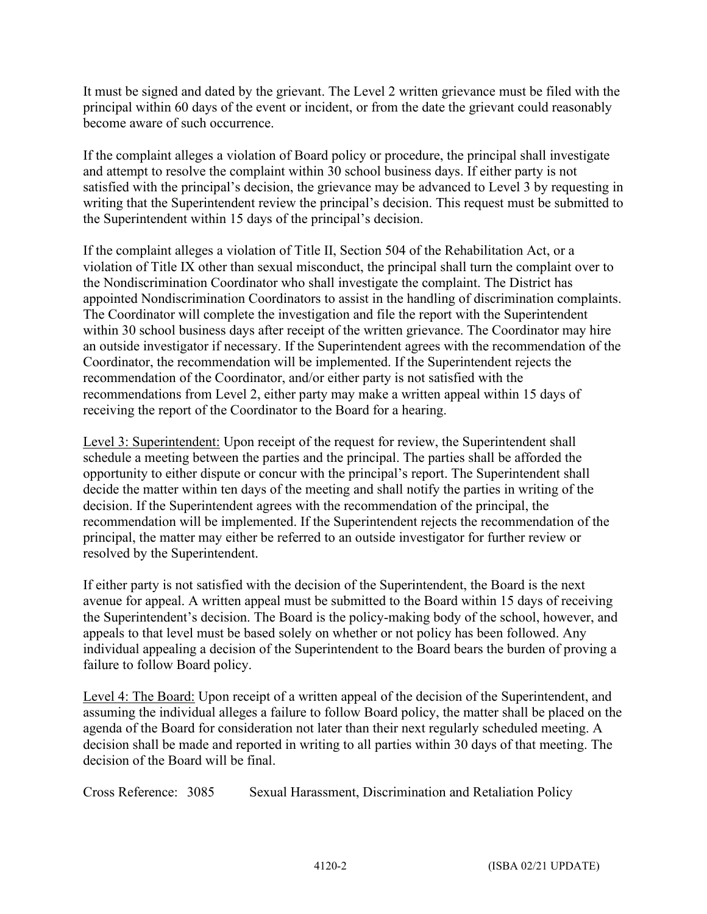It must be signed and dated by the grievant. The Level 2 written grievance must be filed with the principal within 60 days of the event or incident, or from the date the grievant could reasonably become aware of such occurrence.

If the complaint alleges a violation of Board policy or procedure, the principal shall investigate and attempt to resolve the complaint within 30 school business days. If either party is not satisfied with the principal's decision, the grievance may be advanced to Level 3 by requesting in writing that the Superintendent review the principal's decision. This request must be submitted to the Superintendent within 15 days of the principal's decision.

If the complaint alleges a violation of Title II, Section 504 of the Rehabilitation Act, or a violation of Title IX other than sexual misconduct, the principal shall turn the complaint over to the Nondiscrimination Coordinator who shall investigate the complaint. The District has appointed Nondiscrimination Coordinators to assist in the handling of discrimination complaints. The Coordinator will complete the investigation and file the report with the Superintendent within 30 school business days after receipt of the written grievance. The Coordinator may hire an outside investigator if necessary. If the Superintendent agrees with the recommendation of the Coordinator, the recommendation will be implemented. If the Superintendent rejects the recommendation of the Coordinator, and/or either party is not satisfied with the recommendations from Level 2, either party may make a written appeal within 15 days of receiving the report of the Coordinator to the Board for a hearing.

Level 3: Superintendent: Upon receipt of the request for review, the Superintendent shall schedule a meeting between the parties and the principal. The parties shall be afforded the opportunity to either dispute or concur with the principal's report. The Superintendent shall decide the matter within ten days of the meeting and shall notify the parties in writing of the decision. If the Superintendent agrees with the recommendation of the principal, the recommendation will be implemented. If the Superintendent rejects the recommendation of the principal, the matter may either be referred to an outside investigator for further review or resolved by the Superintendent.

If either party is not satisfied with the decision of the Superintendent, the Board is the next avenue for appeal. A written appeal must be submitted to the Board within 15 days of receiving the Superintendent's decision. The Board is the policy-making body of the school, however, and appeals to that level must be based solely on whether or not policy has been followed. Any individual appealing a decision of the Superintendent to the Board bears the burden of proving a failure to follow Board policy.

Level 4: The Board: Upon receipt of a written appeal of the decision of the Superintendent, and assuming the individual alleges a failure to follow Board policy, the matter shall be placed on the agenda of the Board for consideration not later than their next regularly scheduled meeting. A decision shall be made and reported in writing to all parties within 30 days of that meeting. The decision of the Board will be final.

Cross Reference: 3085 Sexual Harassment, Discrimination and Retaliation Policy